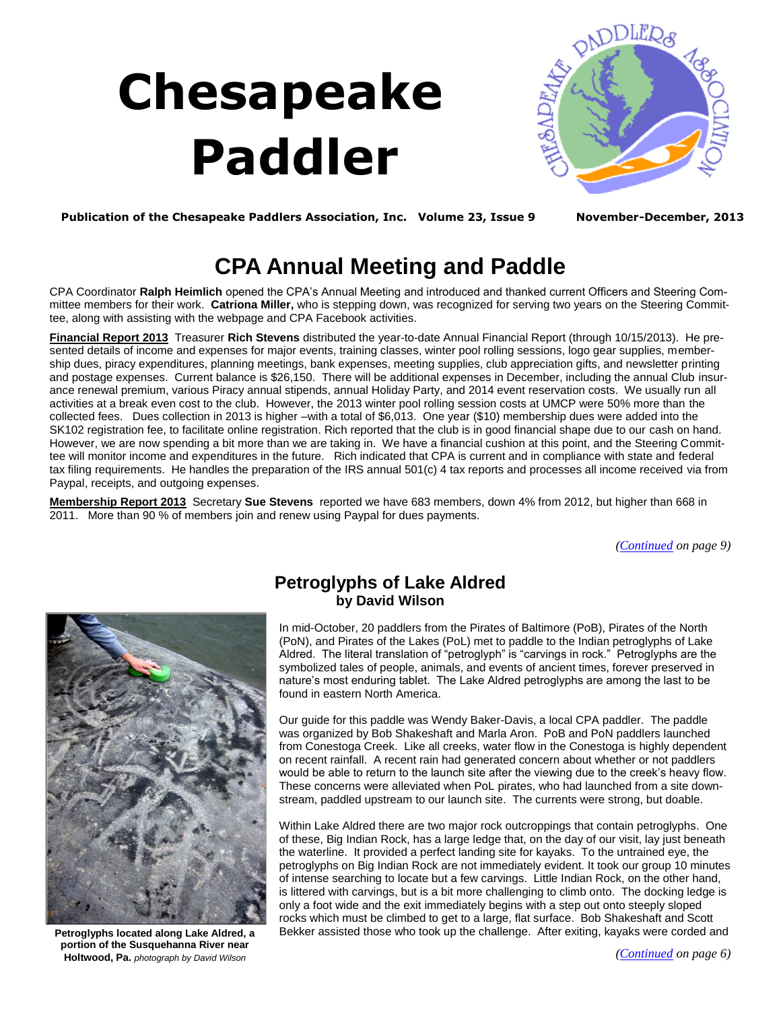## **Chesapeake Paddler**

<span id="page-0-0"></span>

**Publication of the Chesapeake Paddlers Association, Inc. Volume 23, Issue 9 November-December, 2013**

## **CPA Annual Meeting and Paddle**

CPA Coordinator **Ralph Heimlich** opened the CPA's Annual Meeting and introduced and thanked current Officers and Steering Committee members for their work. **Catriona Miller,** who is stepping down, was recognized for serving two years on the Steering Committee, along with assisting with the webpage and CPA Facebook activities.

**Financial Report 2013** Treasurer **Rich Stevens** distributed the year-to-date Annual Financial Report (through 10/15/2013). He presented details of income and expenses for major events, training classes, winter pool rolling sessions, logo gear supplies, membership dues, piracy expenditures, planning meetings, bank expenses, meeting supplies, club appreciation gifts, and newsletter printing and postage expenses. Current balance is \$26,150. There will be additional expenses in December, including the annual Club insurance renewal premium, various Piracy annual stipends, annual Holiday Party, and 2014 event reservation costs. We usually run all activities at a break even cost to the club. However, the 2013 winter pool rolling session costs at UMCP were 50% more than the collected fees. Dues collection in 2013 is higher –with a total of \$6,013. One year (\$10) membership dues were added into the SK102 registration fee, to facilitate online registration. Rich reported that the club is in good financial shape due to our cash on hand. However, we are now spending a bit more than we are taking in. We have a financial cushion at this point, and the Steering Committee will monitor income and expenditures in the future. Rich indicated that CPA is current and in compliance with state and federal tax filing requirements. He handles the preparation of the IRS annual 501(c) 4 tax reports and processes all income received via from Paypal, receipts, and outgoing expenses.

**Membership Report 2013** Secretary **Sue Stevens** reported we have 683 members, down 4% from 2012, but higher than 668 in 2011. More than 90 % of members join and renew using Paypal for dues payments.

*(Continued on page 9)*



**Petroglyphs located along Lake Aldred, a portion of the Susquehanna River near Holtwood, Pa.** *photograph by David Wilson*

## **Petroglyphs of Lake Aldred by David Wilson**

In mid-October, 20 paddlers from the Pirates of Baltimore (PoB), Pirates of the North (PoN), and Pirates of the Lakes (PoL) met to paddle to the Indian petroglyphs of Lake Aldred. The literal translation of "petroglyph" is "carvings in rock." Petroglyphs are the symbolized tales of people, animals, and events of ancient times, forever preserved in nature's most enduring tablet. The Lake Aldred petroglyphs are among the last to be found in eastern North America.

Our guide for this paddle was Wendy Baker-Davis, a local CPA paddler. The paddle was organized by Bob Shakeshaft and Marla Aron. PoB and PoN paddlers launched from Conestoga Creek. Like all creeks, water flow in the Conestoga is highly dependent on recent rainfall. A recent rain had generated concern about whether or not paddlers would be able to return to the launch site after the viewing due to the creek's heavy flow. These concerns were alleviated when PoL pirates, who had launched from a site downstream, paddled upstream to our launch site. The currents were strong, but doable.

Within Lake Aldred there are two major rock outcroppings that contain petroglyphs. One of these, Big Indian Rock, has a large ledge that, on the day of our visit, lay just beneath the waterline. It provided a perfect landing site for kayaks. To the untrained eye, the petroglyphs on Big Indian Rock are not immediately evident. It took our group 10 minutes of intense searching to locate but a few carvings. Little Indian Rock, on the other hand, is littered with carvings, but is a bit more challenging to climb onto. The docking ledge is only a foot wide and the exit immediately begins with a step out onto steeply sloped rocks which must be climbed to get to a large, flat surface. Bob Shakeshaft and Scott Bekker assisted those who took up the challenge. After exiting, kayaks were corded and